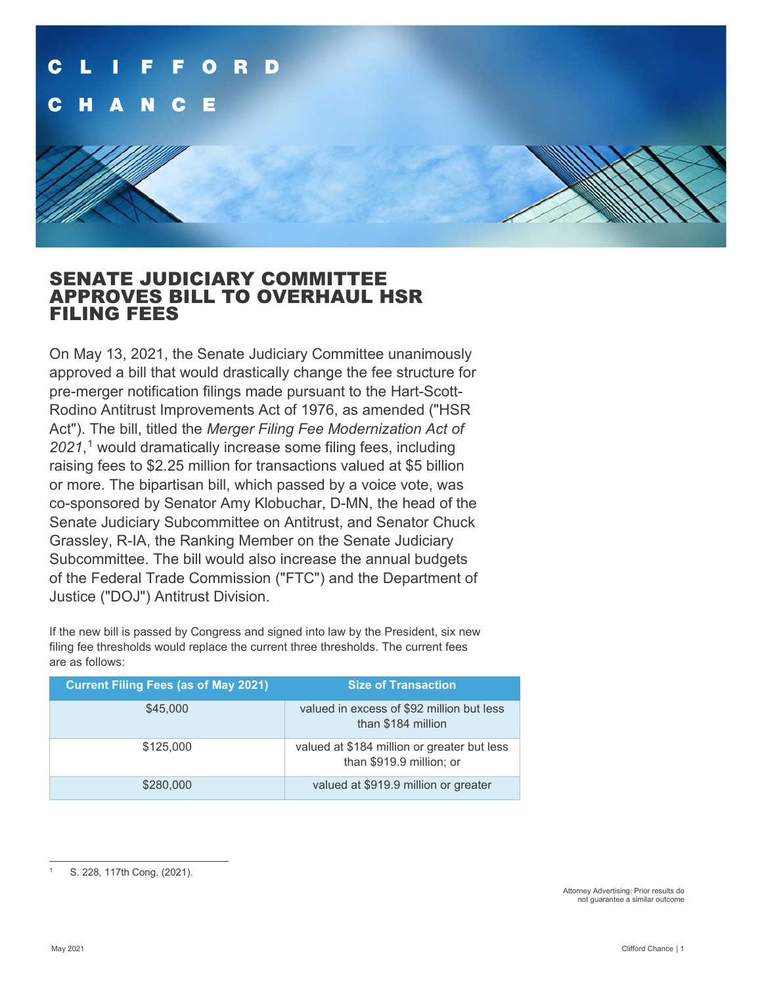

# SENATE JUDICIARY COMMITTEE APPROVES BILL TO OVERHAUL HSR FILING FEES

On May 13, 2021, the Senate Judiciary Committee unanimously approved a bill that would drastically change the fee structure for pre-merger notification filings made pursuant to the Hart-Scott-Rodino Antitrust Improvements Act of 1976, as amended ("HSR Act"). The bill, titled the *Merger Filing Fee Modernization Act of 2021*, [1](#page-0-0) would dramatically increase some filing fees, including raising fees to \$2.25 million for transactions valued at \$5 billion or more. The bipartisan bill, which passed by a voice vote, was co-sponsored by Senator Amy Klobuchar, D-MN, the head of the Senate Judiciary Subcommittee on Antitrust, and Senator Chuck Grassley, R-IA, the Ranking Member on the Senate Judiciary Subcommittee. The bill would also increase the annual budgets of the Federal Trade Commission ("FTC") and the Department of Justice ("DOJ") Antitrust Division.

If the new bill is passed by Congress and signed into law by the President, six new filing fee thresholds would replace the current three thresholds. The current fees are as follows:

| <b>Current Filing Fees (as of May 2021)</b> | <b>Size of Transaction</b>                                              |
|---------------------------------------------|-------------------------------------------------------------------------|
| \$45,000                                    | valued in excess of \$92 million but less<br>than \$184 million         |
| \$125,000                                   | valued at \$184 million or greater but less<br>than \$919.9 million; or |
| \$280,000                                   | valued at \$919.9 million or greater                                    |

<span id="page-0-0"></span>S. 228, 117th Cong. (2021).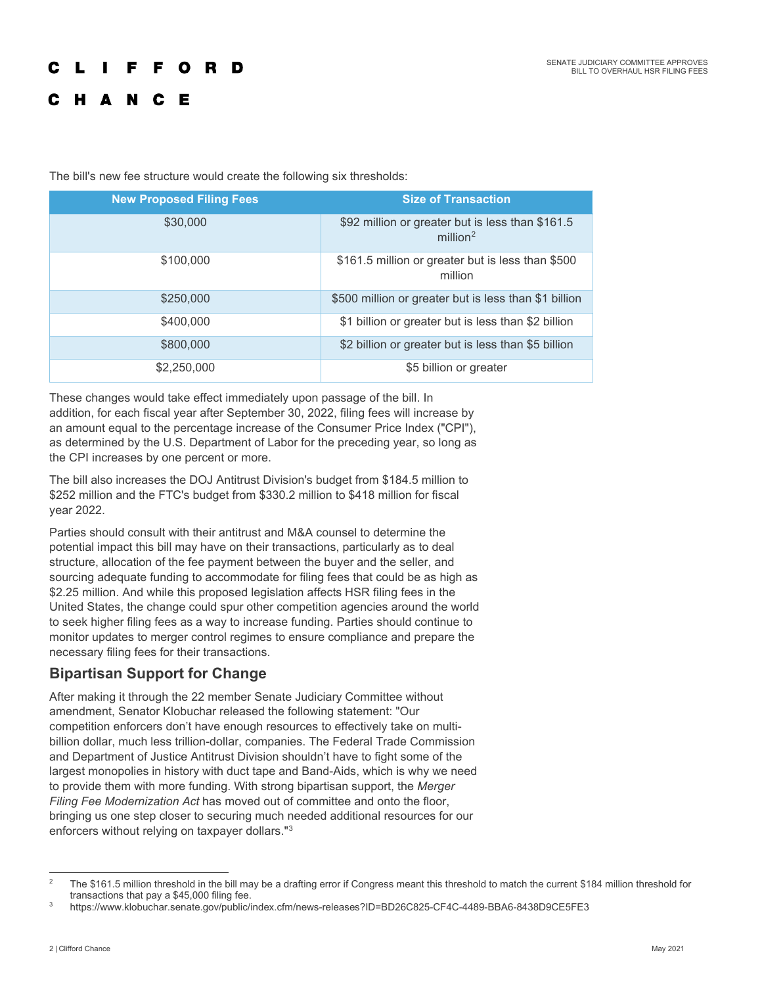### L **The Contract FFORD**

# **HANCE**

The bill's new fee structure would create the following six thresholds:

| <b>New Proposed Filing Fees</b> | <b>Size of Transaction</b>                                                  |
|---------------------------------|-----------------------------------------------------------------------------|
| \$30,000                        | \$92 million or greater but is less than \$161.5<br>$m$ illion <sup>2</sup> |
| \$100,000                       | \$161.5 million or greater but is less than \$500<br>million                |
| \$250,000                       | \$500 million or greater but is less than \$1 billion                       |
| \$400,000                       | \$1 billion or greater but is less than \$2 billion                         |
| \$800,000                       | \$2 billion or greater but is less than \$5 billion                         |
| \$2,250,000                     | \$5 billion or greater                                                      |

These changes would take effect immediately upon passage of the bill. In addition, for each fiscal year after September 30, 2022, filing fees will increase by an amount equal to the percentage increase of the Consumer Price Index ("CPI"), as determined by the U.S. Department of Labor for the preceding year, so long as the CPI increases by one percent or more.

The bill also increases the DOJ Antitrust Division's budget from \$184.5 million to \$252 million and the FTC's budget from \$330.2 million to \$418 million for fiscal year 2022.

Parties should consult with their antitrust and M&A counsel to determine the potential impact this bill may have on their transactions, particularly as to deal structure, allocation of the fee payment between the buyer and the seller, and sourcing adequate funding to accommodate for filing fees that could be as high as \$2.25 million. And while this proposed legislation affects HSR filing fees in the United States, the change could spur other competition agencies around the world to seek higher filing fees as a way to increase funding. Parties should continue to monitor updates to merger control regimes to ensure compliance and prepare the necessary filing fees for their transactions.

# **Bipartisan Support for Change**

After making it through the 22 member Senate Judiciary Committee without amendment, Senator Klobuchar released the following statement: "Our competition enforcers don't have enough resources to effectively take on multibillion dollar, much less trillion-dollar, companies. The Federal Trade Commission and Department of Justice Antitrust Division shouldn't have to fight some of the largest monopolies in history with duct tape and Band-Aids, which is why we need to provide them with more funding. With strong bipartisan support, the *Merger Filing Fee Modernization Act* has moved out of committee and onto the floor, bringing us one step closer to securing much needed additional resources for our enforcers without relying on taxpayer dollars."[3](#page-1-1)

<span id="page-1-0"></span><sup>&</sup>lt;sup>2</sup> The \$161.5 million threshold in the bill may be a drafting error if Congress meant this threshold to match the current \$184 million threshold for transactions that pay a \$45,000 filing fee.

<span id="page-1-1"></span>https://www.klobuchar.senate.gov/public/index.cfm/news-releases?ID=BD26C825-CF4C-4489-BBA6-8438D9CE5FE3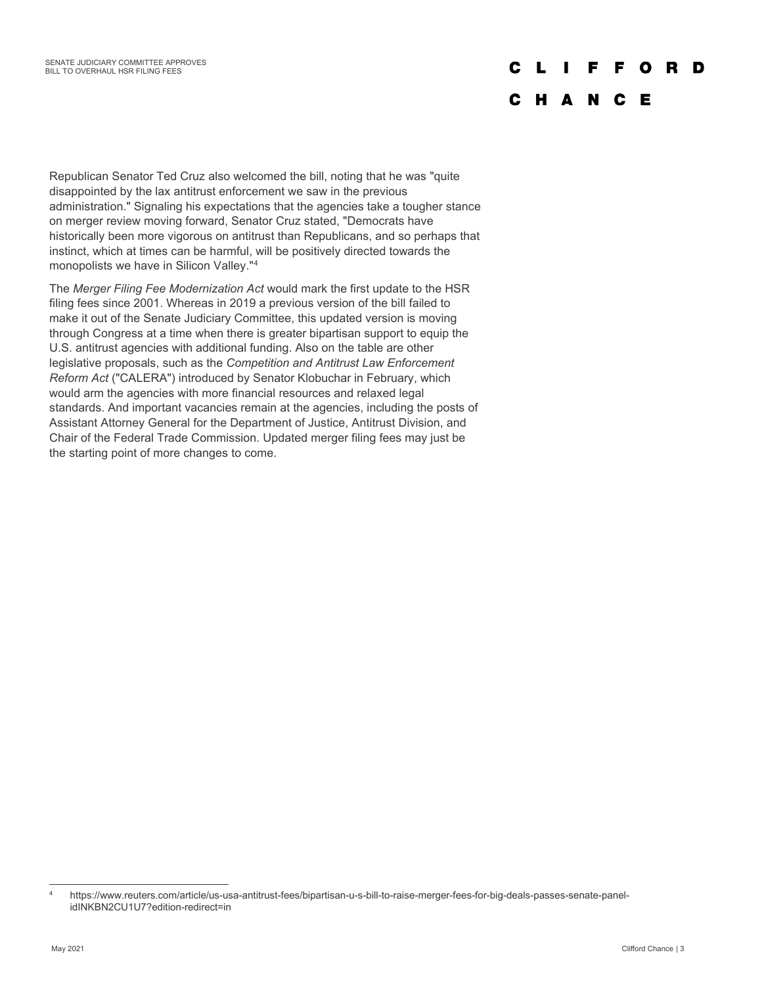#### $\mathbf{L}$  $\mathbf{L}$ F.  $\mathbf{o}$ D. D

# C H A N C E

Republican Senator Ted Cruz also welcomed the bill, noting that he was "quite disappointed by the lax antitrust enforcement we saw in the previous administration." Signaling his expectations that the agencies take a tougher stance on merger review moving forward, Senator Cruz stated, "Democrats have historically been more vigorous on antitrust than Republicans, and so perhaps that instinct, which at times can be harmful, will be positively directed towards the monopolists we have in Silicon Valley."[4](#page-2-0)

The *Merger Filing Fee Modernization Act* would mark the first update to the HSR filing fees since 2001. Whereas in 2019 a previous version of the bill failed to make it out of the Senate Judiciary Committee, this updated version is moving through Congress at a time when there is greater bipartisan support to equip the U.S. antitrust agencies with additional funding. Also on the table are other legislative proposals, such as the *Competition and Antitrust Law Enforcement Reform Act* ("CALERA") introduced by Senator Klobuchar in February, which would arm the agencies with more financial resources and relaxed legal standards. And important vacancies remain at the agencies, including the posts of Assistant Attorney General for the Department of Justice, Antitrust Division, and Chair of the Federal Trade Commission. Updated merger filing fees may just be the starting point of more changes to come.

<span id="page-2-0"></span><sup>4</sup> https://www.reuters.com/article/us-usa-antitrust-fees/bipartisan-u-s-bill-to-raise-merger-fees-for-big-deals-passes-senate-panelidINKBN2CU1U7?edition-redirect=in